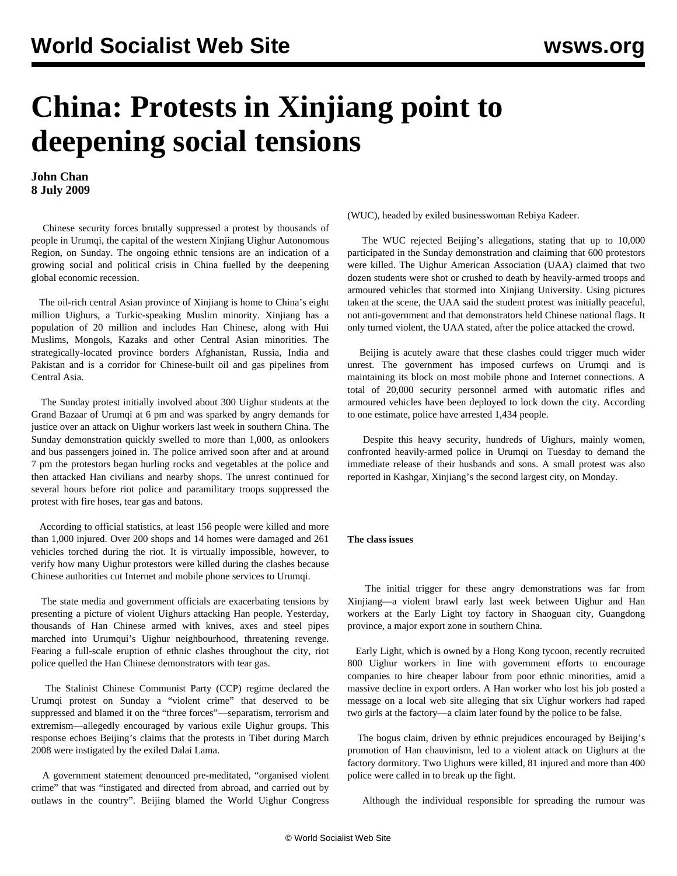## **China: Protests in Xinjiang point to deepening social tensions**

**John Chan 8 July 2009**

 Chinese security forces brutally suppressed a protest by thousands of people in Urumqi, the capital of the western Xinjiang Uighur Autonomous Region, on Sunday. The ongoing ethnic tensions are an indication of a growing social and political crisis in China fuelled by the deepening global economic recession.

 The oil-rich central Asian province of Xinjiang is home to China's eight million Uighurs, a Turkic-speaking Muslim minority. Xinjiang has a population of 20 million and includes Han Chinese, along with Hui Muslims, Mongols, Kazaks and other Central Asian minorities. The strategically-located province borders Afghanistan, Russia, India and Pakistan and is a corridor for Chinese-built oil and gas pipelines from Central Asia.

 The Sunday protest initially involved about 300 Uighur students at the Grand Bazaar of Urumqi at 6 pm and was sparked by angry demands for justice over an attack on Uighur workers last week in southern China. The Sunday demonstration quickly swelled to more than 1,000, as onlookers and bus passengers joined in. The police arrived soon after and at around 7 pm the protestors began hurling rocks and vegetables at the police and then attacked Han civilians and nearby shops. The unrest continued for several hours before riot police and paramilitary troops suppressed the protest with fire hoses, tear gas and batons.

 According to official statistics, at least 156 people were killed and more than 1,000 injured. Over 200 shops and 14 homes were damaged and 261 vehicles torched during the riot. It is virtually impossible, however, to verify how many Uighur protestors were killed during the clashes because Chinese authorities cut Internet and mobile phone services to Urumqi.

 The state media and government officials are exacerbating tensions by presenting a picture of violent Uighurs attacking Han people. Yesterday, thousands of Han Chinese armed with knives, axes and steel pipes marched into Urumqui's Uighur neighbourhood, threatening revenge. Fearing a full-scale eruption of ethnic clashes throughout the city, riot police quelled the Han Chinese demonstrators with tear gas.

 The Stalinist Chinese Communist Party (CCP) regime declared the Urumqi protest on Sunday a "violent crime" that deserved to be suppressed and blamed it on the "three forces"—separatism, terrorism and extremism—allegedly encouraged by various exile Uighur groups. This response echoes Beijing's claims that the protests in Tibet during March 2008 were instigated by the exiled Dalai Lama.

 A government statement denounced pre-meditated, "organised violent crime" that was "instigated and directed from abroad, and carried out by outlaws in the country". Beijing blamed the World Uighur Congress (WUC), headed by exiled businesswoman Rebiya Kadeer.

 The WUC rejected Beijing's allegations, stating that up to 10,000 participated in the Sunday demonstration and claiming that 600 protestors were killed. The Uighur American Association (UAA) claimed that two dozen students were shot or crushed to death by heavily-armed troops and armoured vehicles that stormed into Xinjiang University. Using pictures taken at the scene, the UAA said the student protest was initially peaceful, not anti-government and that demonstrators held Chinese national flags. It only turned violent, the UAA stated, after the police attacked the crowd.

 Beijing is acutely aware that these clashes could trigger much wider unrest. The government has imposed curfews on Urumqi and is maintaining its block on most mobile phone and Internet connections. A total of 20,000 security personnel armed with automatic rifles and armoured vehicles have been deployed to lock down the city. According to one estimate, police have arrested 1,434 people.

 Despite this heavy security, hundreds of Uighurs, mainly women, confronted heavily-armed police in Urumqi on Tuesday to demand the immediate release of their husbands and sons. A small protest was also reported in Kashgar, Xinjiang's the second largest city, on Monday.

## **The class issues**

 The initial trigger for these angry demonstrations was far from Xinjiang—a violent brawl early last week between Uighur and Han workers at the Early Light toy factory in Shaoguan city, Guangdong province, a major export zone in southern China.

 Early Light, which is owned by a Hong Kong tycoon, recently recruited 800 Uighur workers in line with government efforts to encourage companies to hire cheaper labour from poor ethnic minorities, amid a massive decline in export orders. A Han worker who lost his job posted a message on a local web site alleging that six Uighur workers had raped two girls at the factory—a claim later found by the police to be false.

 The bogus claim, driven by ethnic prejudices encouraged by Beijing's promotion of Han chauvinism, led to a violent attack on Uighurs at the factory dormitory. Two Uighurs were killed, 81 injured and more than 400 police were called in to break up the fight.

Although the individual responsible for spreading the rumour was